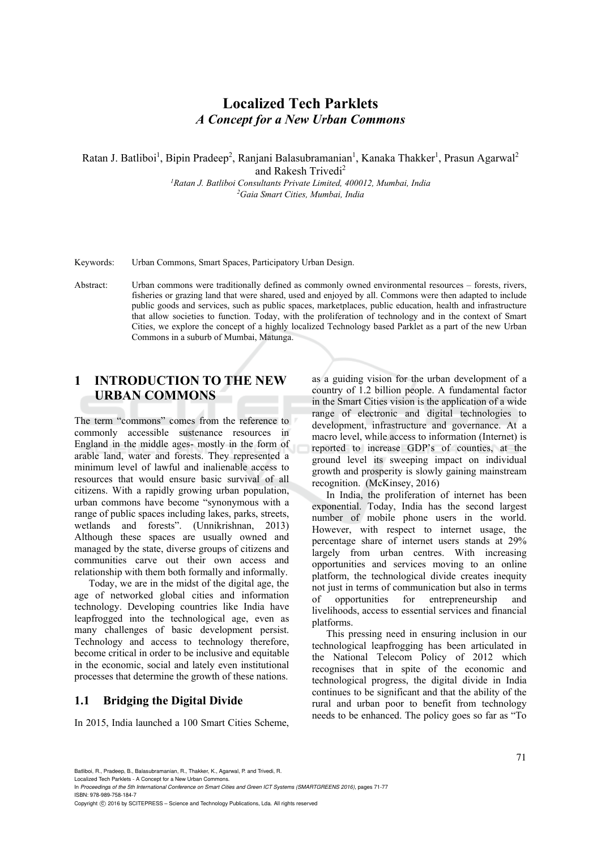# **Localized Tech Parklets**  *A Concept for a New Urban Commons*

Ratan J. Batliboi<sup>1</sup>, Bipin Pradeep<sup>2</sup>, Ranjani Balasubramanian<sup>1</sup>, Kanaka Thakker<sup>1</sup>, Prasun Agarwal<sup>2</sup>

and Rakesh Trivedi<sup>2</sup>

*1 Ratan J. Batliboi Consultants Private Limited, 400012, Mumbai, India 2Gaia Smart Cities, Mumbai, India* 

Keywords: Urban Commons, Smart Spaces, Participatory Urban Design.

Abstract: Urban commons were traditionally defined as commonly owned environmental resources – forests, rivers, fisheries or grazing land that were shared, used and enjoyed by all. Commons were then adapted to include public goods and services, such as public spaces, marketplaces, public education, health and infrastructure that allow societies to function. Today, with the proliferation of technology and in the context of Smart Cities, we explore the concept of a highly localized Technology based Parklet as a part of the new Urban Commons in a suburb of Mumbai, Matunga.

### **1 INTRODUCTION TO THE NEW URBAN COMMONS**

The term "commons" comes from the reference to commonly accessible sustenance resources in England in the middle ages- mostly in the form of arable land, water and forests. They represented a minimum level of lawful and inalienable access to resources that would ensure basic survival of all citizens. With a rapidly growing urban population, urban commons have become "synonymous with a range of public spaces including lakes, parks, streets, wetlands and forests". (Unnikrishnan, 2013) Although these spaces are usually owned and managed by the state, diverse groups of citizens and communities carve out their own access and relationship with them both formally and informally.

Today, we are in the midst of the digital age, the age of networked global cities and information technology. Developing countries like India have leapfrogged into the technological age, even as many challenges of basic development persist. Technology and access to technology therefore, become critical in order to be inclusive and equitable in the economic, social and lately even institutional processes that determine the growth of these nations.

### **1.1 Bridging the Digital Divide**

In 2015, India launched a 100 Smart Cities Scheme,

as a guiding vision for the urban development of a country of 1.2 billion people. A fundamental factor in the Smart Cities vision is the application of a wide range of electronic and digital technologies to development, infrastructure and governance. At a macro level, while access to information (Internet) is reported to increase GDP's of counties, at the ground level its sweeping impact on individual growth and prosperity is slowly gaining mainstream recognition. (McKinsey, 2016)

In India, the proliferation of internet has been exponential. Today, India has the second largest number of mobile phone users in the world. However, with respect to internet usage, the percentage share of internet users stands at 29% largely from urban centres. With increasing opportunities and services moving to an online platform, the technological divide creates inequity not just in terms of communication but also in terms of opportunities for entrepreneurship and livelihoods, access to essential services and financial platforms.

This pressing need in ensuring inclusion in our technological leapfrogging has been articulated in the National Telecom Policy of 2012 which recognises that in spite of the economic and technological progress, the digital divide in India continues to be significant and that the ability of the rural and urban poor to benefit from technology needs to be enhanced. The policy goes so far as "To

Localized Tech Parklets - A Concept for a New Urban Commons.

In *Proceedings of the 5th International Conference on Smart Cities and Green ICT Systems (SMARTGREENS 2016)*, pages 71-77 ISBN: 978-989-758-184-7

Copyright (C) 2016 by SCITEPRESS - Science and Technology Publications, Lda. All rights reserved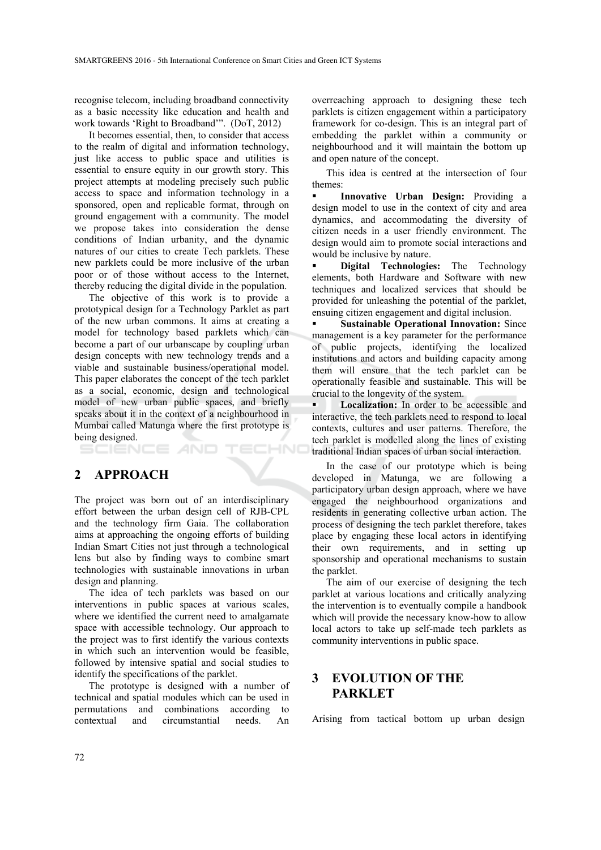recognise telecom, including broadband connectivity as a basic necessity like education and health and work towards 'Right to Broadband'". (DoT, 2012)

It becomes essential, then, to consider that access to the realm of digital and information technology, just like access to public space and utilities is essential to ensure equity in our growth story. This project attempts at modeling precisely such public access to space and information technology in a sponsored, open and replicable format, through on ground engagement with a community. The model we propose takes into consideration the dense conditions of Indian urbanity, and the dynamic natures of our cities to create Tech parklets. These new parklets could be more inclusive of the urban poor or of those without access to the Internet, thereby reducing the digital divide in the population.

The objective of this work is to provide a prototypical design for a Technology Parklet as part of the new urban commons. It aims at creating a model for technology based parklets which can become a part of our urbanscape by coupling urban design concepts with new technology trends and a viable and sustainable business/operational model. This paper elaborates the concept of the tech parklet as a social, economic, design and technological model of new urban public spaces, and briefly speaks about it in the context of a neighbourhood in Mumbai called Matunga where the first prototype is being designed.

TECHNO AND

### **2 APPROACH**

The project was born out of an interdisciplinary effort between the urban design cell of RJB-CPL and the technology firm Gaia. The collaboration aims at approaching the ongoing efforts of building Indian Smart Cities not just through a technological lens but also by finding ways to combine smart technologies with sustainable innovations in urban design and planning.

The idea of tech parklets was based on our interventions in public spaces at various scales, where we identified the current need to amalgamate space with accessible technology. Our approach to the project was to first identify the various contexts in which such an intervention would be feasible, followed by intensive spatial and social studies to identify the specifications of the parklet.

The prototype is designed with a number of technical and spatial modules which can be used in permutations and combinations according to contextual and circumstantial needs. An

overreaching approach to designing these tech parklets is citizen engagement within a participatory framework for co-design. This is an integral part of embedding the parklet within a community or neighbourhood and it will maintain the bottom up and open nature of the concept.

This idea is centred at the intersection of four themes:

 **Innovative Urban Design:** Providing a design model to use in the context of city and area dynamics, and accommodating the diversity of citizen needs in a user friendly environment. The design would aim to promote social interactions and would be inclusive by nature.

 **Digital Technologies:** The Technology elements, both Hardware and Software with new techniques and localized services that should be provided for unleashing the potential of the parklet, ensuing citizen engagement and digital inclusion.

 **Sustainable Operational Innovation:** Since management is a key parameter for the performance of public projects, identifying the localized institutions and actors and building capacity among them will ensure that the tech parklet can be operationally feasible and sustainable. This will be crucial to the longevity of the system.

**Localization:** In order to be accessible and interactive, the tech parklets need to respond to local contexts, cultures and user patterns. Therefore, the tech parklet is modelled along the lines of existing traditional Indian spaces of urban social interaction.

In the case of our prototype which is being developed in Matunga, we are following a participatory urban design approach, where we have engaged the neighbourhood organizations and residents in generating collective urban action. The process of designing the tech parklet therefore, takes place by engaging these local actors in identifying their own requirements, and in setting up sponsorship and operational mechanisms to sustain the parklet.

The aim of our exercise of designing the tech parklet at various locations and critically analyzing the intervention is to eventually compile a handbook which will provide the necessary know-how to allow local actors to take up self-made tech parklets as community interventions in public space.

## **3 EVOLUTION OF THE PARKLET**

Arising from tactical bottom up urban design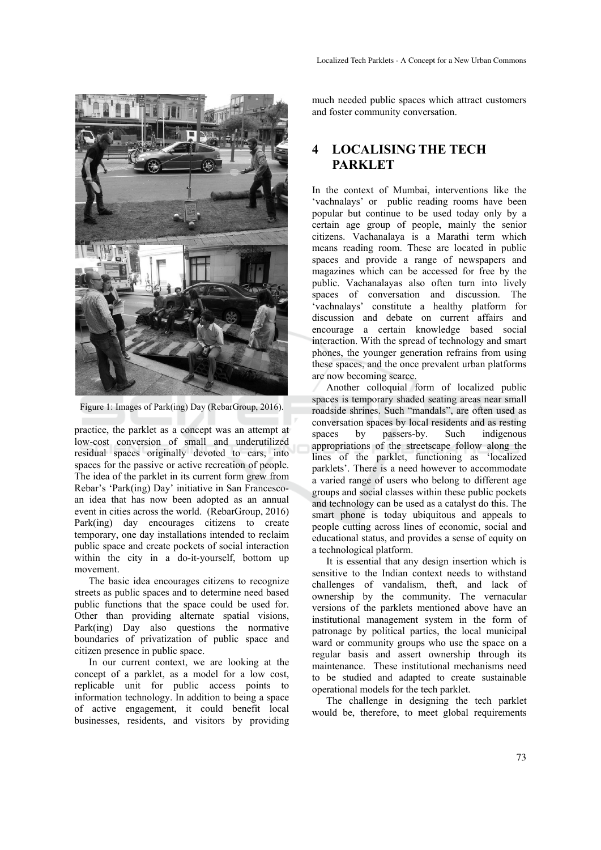

Figure 1: Images of Park(ing) Day (RebarGroup, 2016).

practice, the parklet as a concept was an attempt at low-cost conversion of small and underutilized residual spaces originally devoted to cars, into spaces for the passive or active recreation of people. The idea of the parklet in its current form grew from Rebar's 'Park(ing) Day' initiative in San Francescoan idea that has now been adopted as an annual event in cities across the world. (RebarGroup, 2016) Park(ing) day encourages citizens to create temporary, one day installations intended to reclaim public space and create pockets of social interaction within the city in a do-it-yourself, bottom up movement.

The basic idea encourages citizens to recognize streets as public spaces and to determine need based public functions that the space could be used for. Other than providing alternate spatial visions, Park(ing) Day also questions the normative boundaries of privatization of public space and citizen presence in public space.

In our current context, we are looking at the concept of a parklet, as a model for a low cost, replicable unit for public access points to information technology. In addition to being a space of active engagement, it could benefit local businesses, residents, and visitors by providing

much needed public spaces which attract customers and foster community conversation.

## **4 LOCALISING THE TECH PARKLET**

In the context of Mumbai, interventions like the 'vachnalays' or public reading rooms have been popular but continue to be used today only by a certain age group of people, mainly the senior citizens. Vachanalaya is a Marathi term which means reading room. These are located in public spaces and provide a range of newspapers and magazines which can be accessed for free by the public. Vachanalayas also often turn into lively spaces of conversation and discussion. The 'vachnalays' constitute a healthy platform for discussion and debate on current affairs and encourage a certain knowledge based social interaction. With the spread of technology and smart phones, the younger generation refrains from using these spaces, and the once prevalent urban platforms are now becoming scarce.

Another colloquial form of localized public spaces is temporary shaded seating areas near small roadside shrines. Such "mandals", are often used as conversation spaces by local residents and as resting spaces by passers-by. Such indigenous appropriations of the streetscape follow along the lines of the parklet, functioning as 'localized parklets'. There is a need however to accommodate a varied range of users who belong to different age groups and social classes within these public pockets and technology can be used as a catalyst do this. The smart phone is today ubiquitous and appeals to people cutting across lines of economic, social and educational status, and provides a sense of equity on a technological platform.

It is essential that any design insertion which is sensitive to the Indian context needs to withstand challenges of vandalism, theft, and lack of ownership by the community. The vernacular versions of the parklets mentioned above have an institutional management system in the form of patronage by political parties, the local municipal ward or community groups who use the space on a regular basis and assert ownership through its maintenance. These institutional mechanisms need to be studied and adapted to create sustainable operational models for the tech parklet.

The challenge in designing the tech parklet would be, therefore, to meet global requirements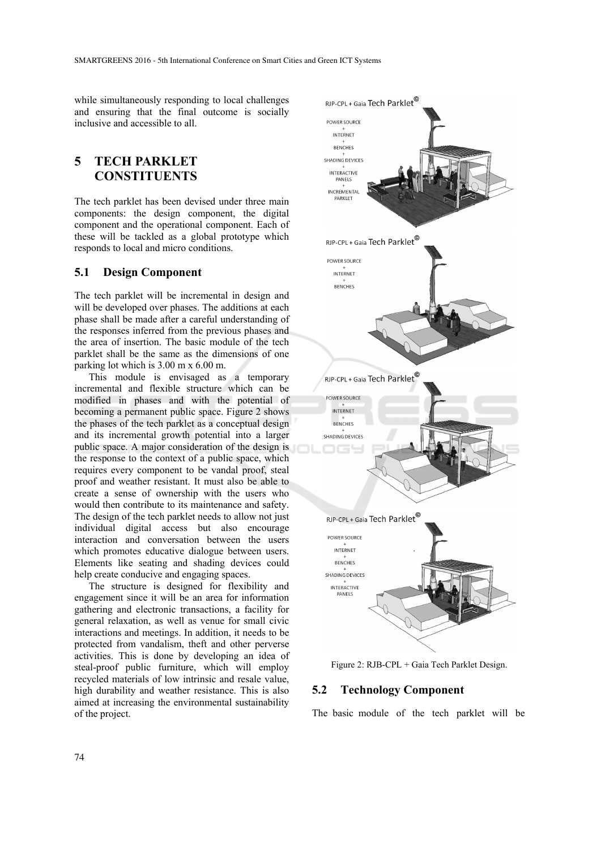while simultaneously responding to local challenges and ensuring that the final outcome is socially inclusive and accessible to all.

## **5 TECH PARKLET CONSTITUENTS**

The tech parklet has been devised under three main components: the design component, the digital component and the operational component. Each of these will be tackled as a global prototype which responds to local and micro conditions.

#### **5.1 Design Component**

The tech parklet will be incremental in design and will be developed over phases. The additions at each phase shall be made after a careful understanding of the responses inferred from the previous phases and the area of insertion. The basic module of the tech parklet shall be the same as the dimensions of one parking lot which is 3.00 m x 6.00 m.

This module is envisaged as a temporary incremental and flexible structure which can be modified in phases and with the potential of becoming a permanent public space. Figure 2 shows the phases of the tech parklet as a conceptual design and its incremental growth potential into a larger public space. A major consideration of the design is the response to the context of a public space, which requires every component to be vandal proof, steal proof and weather resistant. It must also be able to create a sense of ownership with the users who would then contribute to its maintenance and safety. The design of the tech parklet needs to allow not just individual digital access but also encourage interaction and conversation between the users which promotes educative dialogue between users. Elements like seating and shading devices could help create conducive and engaging spaces.

The structure is designed for flexibility and engagement since it will be an area for information gathering and electronic transactions, a facility for general relaxation, as well as venue for small civic interactions and meetings. In addition, it needs to be protected from vandalism, theft and other perverse activities. This is done by developing an idea of steal-proof public furniture, which will employ recycled materials of low intrinsic and resale value, high durability and weather resistance. This is also aimed at increasing the environmental sustainability of the project.



Figure 2: RJB-CPL + Gaia Tech Parklet Design.

#### **5.2 Technology Component**

The basic module of the tech parklet will be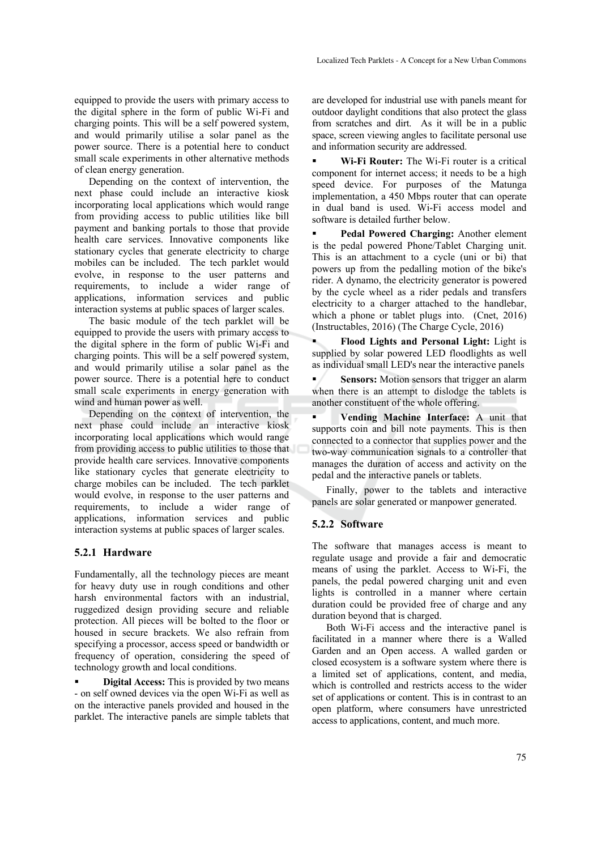equipped to provide the users with primary access to the digital sphere in the form of public Wi-Fi and charging points. This will be a self powered system, and would primarily utilise a solar panel as the power source. There is a potential here to conduct small scale experiments in other alternative methods of clean energy generation.

Depending on the context of intervention, the next phase could include an interactive kiosk incorporating local applications which would range from providing access to public utilities like bill payment and banking portals to those that provide health care services. Innovative components like stationary cycles that generate electricity to charge mobiles can be included. The tech parklet would evolve, in response to the user patterns and requirements, to include a wider range of applications, information services and public interaction systems at public spaces of larger scales.

The basic module of the tech parklet will be equipped to provide the users with primary access to the digital sphere in the form of public Wi-Fi and charging points. This will be a self powered system, and would primarily utilise a solar panel as the power source. There is a potential here to conduct small scale experiments in energy generation with wind and human power as well.

Depending on the context of intervention, the next phase could include an interactive kiosk incorporating local applications which would range from providing access to public utilities to those that provide health care services. Innovative components like stationary cycles that generate electricity to charge mobiles can be included. The tech parklet would evolve, in response to the user patterns and requirements, to include a wider range of applications, information services and public interaction systems at public spaces of larger scales.

#### **5.2.1 Hardware**

Fundamentally, all the technology pieces are meant for heavy duty use in rough conditions and other harsh environmental factors with an industrial, ruggedized design providing secure and reliable protection. All pieces will be bolted to the floor or housed in secure brackets. We also refrain from specifying a processor, access speed or bandwidth or frequency of operation, considering the speed of technology growth and local conditions.

 **Digital Access:** This is provided by two means - on self owned devices via the open Wi-Fi as well as on the interactive panels provided and housed in the parklet. The interactive panels are simple tablets that

are developed for industrial use with panels meant for outdoor daylight conditions that also protect the glass from scratches and dirt. As it will be in a public space, screen viewing angles to facilitate personal use and information security are addressed.

 **Wi-Fi Router:** The Wi-Fi router is a critical component for internet access; it needs to be a high speed device. For purposes of the Matunga implementation, a 450 Mbps router that can operate in dual band is used. Wi-Fi access model and software is detailed further below.

 **Pedal Powered Charging:** Another element is the pedal powered Phone/Tablet Charging unit. This is an attachment to a cycle (uni or bi) that powers up from the pedalling motion of the bike's rider. A dynamo, the electricity generator is powered by the cycle wheel as a rider pedals and transfers electricity to a charger attached to the handlebar, which a phone or tablet plugs into. (Cnet, 2016) (Instructables, 2016) (The Charge Cycle, 2016)

 **Flood Lights and Personal Light:** Light is supplied by solar powered LED floodlights as well as individual small LED's near the interactive panels

**Sensors:** Motion sensors that trigger an alarm when there is an attempt to dislodge the tablets is another constituent of the whole offering.

 **Vending Machine Interface:** A unit that supports coin and bill note payments. This is then connected to a connector that supplies power and the two-way communication signals to a controller that manages the duration of access and activity on the pedal and the interactive panels or tablets.

Finally, power to the tablets and interactive panels are solar generated or manpower generated.

#### **5.2.2 Software**

The software that manages access is meant to regulate usage and provide a fair and democratic means of using the parklet. Access to Wi-Fi, the panels, the pedal powered charging unit and even lights is controlled in a manner where certain duration could be provided free of charge and any duration beyond that is charged.

Both Wi-Fi access and the interactive panel is facilitated in a manner where there is a Walled Garden and an Open access. A walled garden or closed ecosystem is a software system where there is a limited set of applications, content, and media, which is controlled and restricts access to the wider set of applications or content. This is in contrast to an open platform, where consumers have unrestricted access to applications, content, and much more.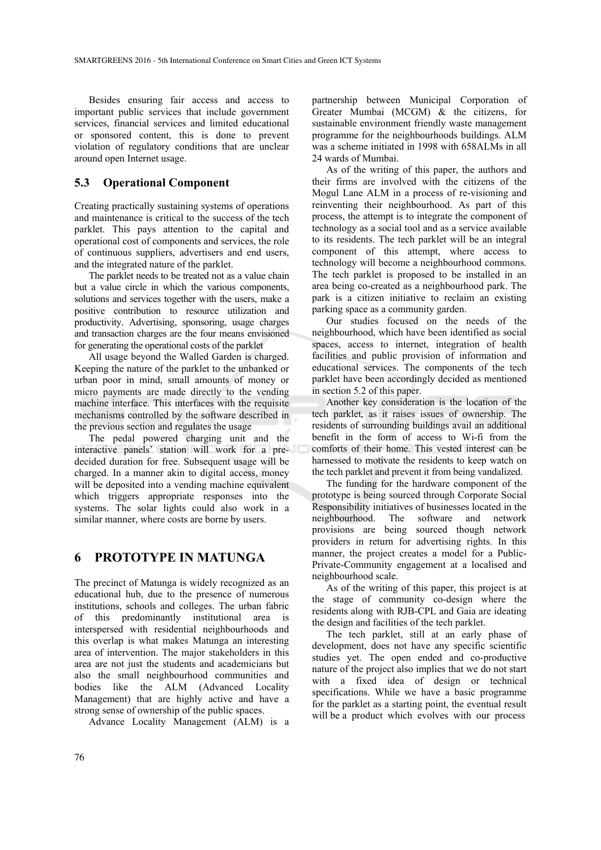Besides ensuring fair access and access to important public services that include government services, financial services and limited educational or sponsored content, this is done to prevent violation of regulatory conditions that are unclear around open Internet usage.

#### **5.3 Operational Component**

Creating practically sustaining systems of operations and maintenance is critical to the success of the tech parklet. This pays attention to the capital and operational cost of components and services, the role of continuous suppliers, advertisers and end users, and the integrated nature of the parklet.

The parklet needs to be treated not as a value chain but a value circle in which the various components, solutions and services together with the users, make a positive contribution to resource utilization and productivity. Advertising, sponsoring, usage charges and transaction charges are the four means envisioned for generating the operational costs of the parklet

All usage beyond the Walled Garden is charged. Keeping the nature of the parklet to the unbanked or urban poor in mind, small amounts of money or micro payments are made directly to the vending machine interface. This interfaces with the requisite mechanisms controlled by the software described in the previous section and regulates the usage

The pedal powered charging unit and the interactive panels' station will work for a predecided duration for free. Subsequent usage will be charged. In a manner akin to digital access, money will be deposited into a vending machine equivalent which triggers appropriate responses into the systems. The solar lights could also work in a similar manner, where costs are borne by users.

### **6 PROTOTYPE IN MATUNGA**

The precinct of Matunga is widely recognized as an educational hub, due to the presence of numerous institutions, schools and colleges. The urban fabric of this predominantly institutional area is interspersed with residential neighbourhoods and this overlap is what makes Matunga an interesting area of intervention. The major stakeholders in this area are not just the students and academicians but also the small neighbourhood communities and bodies like the ALM (Advanced Locality Management) that are highly active and have a strong sense of ownership of the public spaces.

Advance Locality Management (ALM) is a

partnership between Municipal Corporation of Greater Mumbai (MCGM) & the citizens, for sustainable environment friendly waste management programme for the neighbourhoods buildings. ALM was a scheme initiated in 1998 with 658ALMs in all 24 wards of Mumbai.

As of the writing of this paper, the authors and their firms are involved with the citizens of the Mogul Lane ALM in a process of re-visioning and reinventing their neighbourhood. As part of this process, the attempt is to integrate the component of technology as a social tool and as a service available to its residents. The tech parklet will be an integral component of this attempt, where access to technology will become a neighbourhood commons. The tech parklet is proposed to be installed in an area being co-created as a neighbourhood park. The park is a citizen initiative to reclaim an existing parking space as a community garden.

Our studies focused on the needs of the neighbourhood, which have been identified as social spaces, access to internet, integration of health facilities and public provision of information and educational services. The components of the tech parklet have been accordingly decided as mentioned in section 5.2 of this paper.

Another key consideration is the location of the tech parklet, as it raises issues of ownership. The residents of surrounding buildings avail an additional benefit in the form of access to Wi-fi from the comforts of their home. This vested interest can be harnessed to motivate the residents to keep watch on the tech parklet and prevent it from being vandalized.

The funding for the hardware component of the prototype is being sourced through Corporate Social Responsibility initiatives of businesses located in the neighbourhood. The software and network provisions are being sourced though network providers in return for advertising rights. In this manner, the project creates a model for a Public-Private-Community engagement at a localised and neighbourhood scale.

As of the writing of this paper, this project is at the stage of community co-design where the residents along with RJB-CPL and Gaia are ideating the design and facilities of the tech parklet.

The tech parklet, still at an early phase of development, does not have any specific scientific studies yet. The open ended and co-productive nature of the project also implies that we do not start with a fixed idea of design or technical specifications. While we have a basic programme for the parklet as a starting point, the eventual result will be a product which evolves with our process